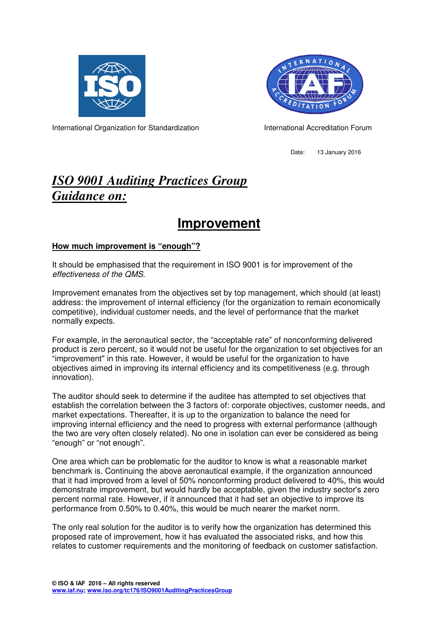



International Organization for Standardization International Accreditation Forum

Date: 13 January 2016

# *ISO 9001 Auditing Practices Group Guidance on:*

# **Improvement**

### **How much improvement is "enough"?**

It should be emphasised that the requirement in ISO 9001 is for improvement of the effectiveness of the QMS.

Improvement emanates from the objectives set by top management, which should (at least) address: the improvement of internal efficiency (for the organization to remain economically competitive), individual customer needs, and the level of performance that the market normally expects.

For example, in the aeronautical sector, the "acceptable rate" of nonconforming delivered product is zero percent, so it would not be useful for the organization to set objectives for an "improvement" in this rate. However, it would be useful for the organization to have objectives aimed in improving its internal efficiency and its competitiveness (e.g. through innovation).

The auditor should seek to determine if the auditee has attempted to set objectives that establish the correlation between the 3 factors of: corporate objectives, customer needs, and market expectations. Thereafter, it is up to the organization to balance the need for improving internal efficiency and the need to progress with external performance (although the two are very often closely related). No one in isolation can ever be considered as being "enough" or "not enough".

One area which can be problematic for the auditor to know is what a reasonable market benchmark is. Continuing the above aeronautical example, if the organization announced that it had improved from a level of 50% nonconforming product delivered to 40%, this would demonstrate improvement, but would hardly be acceptable, given the industry sector's zero percent normal rate. However, if it announced that it had set an objective to improve its performance from 0.50% to 0.40%, this would be much nearer the market norm.

The only real solution for the auditor is to verify how the organization has determined this proposed rate of improvement, how it has evaluated the associated risks, and how this relates to customer requirements and the monitoring of feedback on customer satisfaction.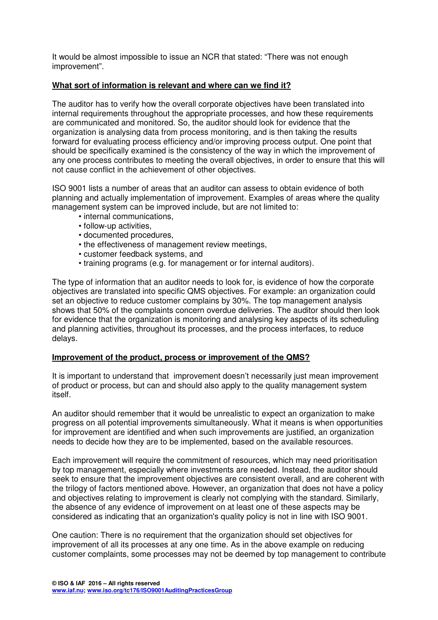It would be almost impossible to issue an NCR that stated: "There was not enough improvement".

### **What sort of information is relevant and where can we find it?**

The auditor has to verify how the overall corporate objectives have been translated into internal requirements throughout the appropriate processes, and how these requirements are communicated and monitored. So, the auditor should look for evidence that the organization is analysing data from process monitoring, and is then taking the results forward for evaluating process efficiency and/or improving process output. One point that should be specifically examined is the consistency of the way in which the improvement of any one process contributes to meeting the overall objectives, in order to ensure that this will not cause conflict in the achievement of other objectives.

ISO 9001 lists a number of areas that an auditor can assess to obtain evidence of both planning and actually implementation of improvement. Examples of areas where the quality management system can be improved include, but are not limited to:

- internal communications,
- follow-up activities,
- documented procedures,
- the effectiveness of management review meetings,
- customer feedback systems, and
- training programs (e.g. for management or for internal auditors).

The type of information that an auditor needs to look for, is evidence of how the corporate objectives are translated into specific QMS objectives. For example: an organization could set an objective to reduce customer complains by 30%. The top management analysis shows that 50% of the complaints concern overdue deliveries. The auditor should then look for evidence that the organization is monitoring and analysing key aspects of its scheduling and planning activities, throughout its processes, and the process interfaces, to reduce delays.

#### **Improvement of the product, process or improvement of the QMS?**

It is important to understand that improvement doesn't necessarily just mean improvement of product or process, but can and should also apply to the quality management system itself.

An auditor should remember that it would be unrealistic to expect an organization to make progress on all potential improvements simultaneously. What it means is when opportunities for improvement are identified and when such improvements are justified, an organization needs to decide how they are to be implemented, based on the available resources.

Each improvement will require the commitment of resources, which may need prioritisation by top management, especially where investments are needed. Instead, the auditor should seek to ensure that the improvement objectives are consistent overall, and are coherent with the trilogy of factors mentioned above. However, an organization that does not have a policy and objectives relating to improvement is clearly not complying with the standard. Similarly, the absence of any evidence of improvement on at least one of these aspects may be considered as indicating that an organization's quality policy is not in line with ISO 9001.

One caution: There is no requirement that the organization should set objectives for improvement of all its processes at any one time. As in the above example on reducing customer complaints, some processes may not be deemed by top management to contribute